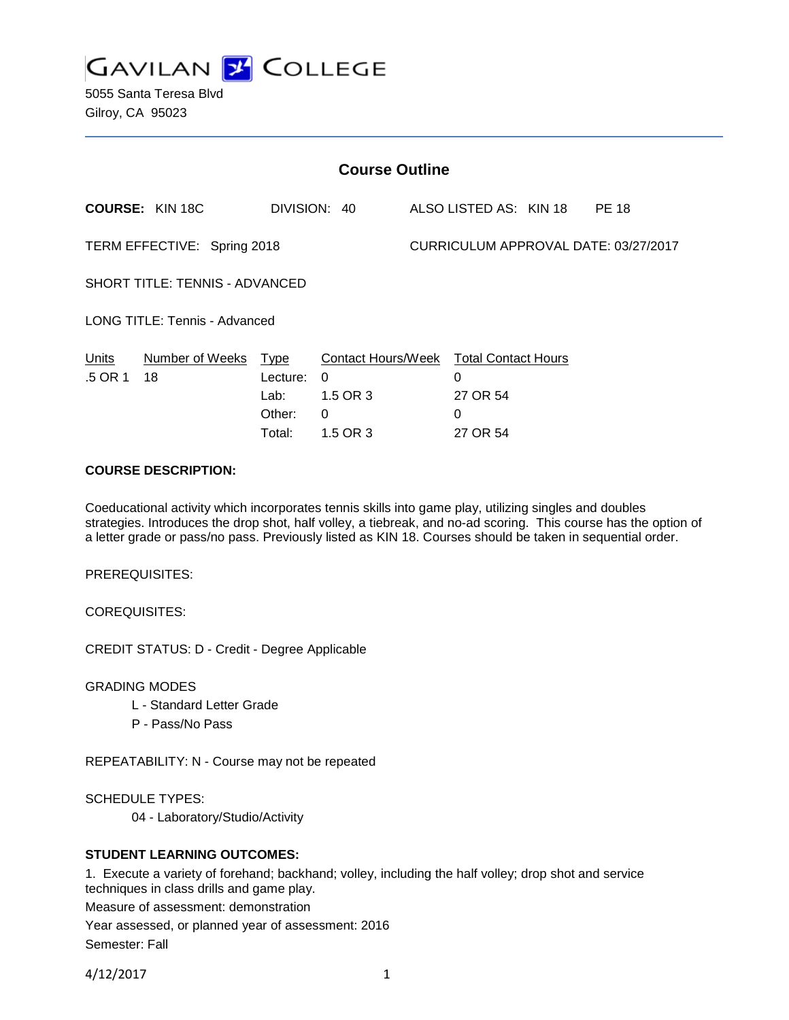

5055 Santa Teresa Blvd Gilroy, CA 95023

| <b>Course Outline</b>                     |                                              |                                                                          |  |                                      |  |              |  |
|-------------------------------------------|----------------------------------------------|--------------------------------------------------------------------------|--|--------------------------------------|--|--------------|--|
| <b>COURSE: KIN 18C</b>                    |                                              | DIVISION: 40                                                             |  | ALSO LISTED AS: KIN 18               |  | <b>PE 18</b> |  |
| TERM EFFECTIVE: Spring 2018               |                                              |                                                                          |  | CURRICULUM APPROVAL DATE: 03/27/2017 |  |              |  |
| <b>SHORT TITLE: TENNIS - ADVANCED</b>     |                                              |                                                                          |  |                                      |  |              |  |
| <b>LONG TITLE: Tennis - Advanced</b>      |                                              |                                                                          |  |                                      |  |              |  |
| Number of Weeks<br>Units<br>.5 OR 1<br>18 | Type<br>Lecture:<br>Lab:<br>Other:<br>Total: | Contact Hours/Week Total Contact Hours<br>0<br>1.5 OR 3<br>0<br>1.5 OR 3 |  | 0<br>27 OR 54<br>0<br>27 OR 54       |  |              |  |

# **COURSE DESCRIPTION:**

Coeducational activity which incorporates tennis skills into game play, utilizing singles and doubles strategies. Introduces the drop shot, half volley, a tiebreak, and no-ad scoring. This course has the option of a letter grade or pass/no pass. Previously listed as KIN 18. Courses should be taken in sequential order.

PREREQUISITES:

COREQUISITES:

CREDIT STATUS: D - Credit - Degree Applicable

GRADING MODES

- L Standard Letter Grade
- P Pass/No Pass

REPEATABILITY: N - Course may not be repeated

SCHEDULE TYPES:

04 - Laboratory/Studio/Activity

## **STUDENT LEARNING OUTCOMES:**

1. Execute a variety of forehand; backhand; volley, including the half volley; drop shot and service techniques in class drills and game play.

Measure of assessment: demonstration

Year assessed, or planned year of assessment: 2016

Semester: Fall

4/12/2017 1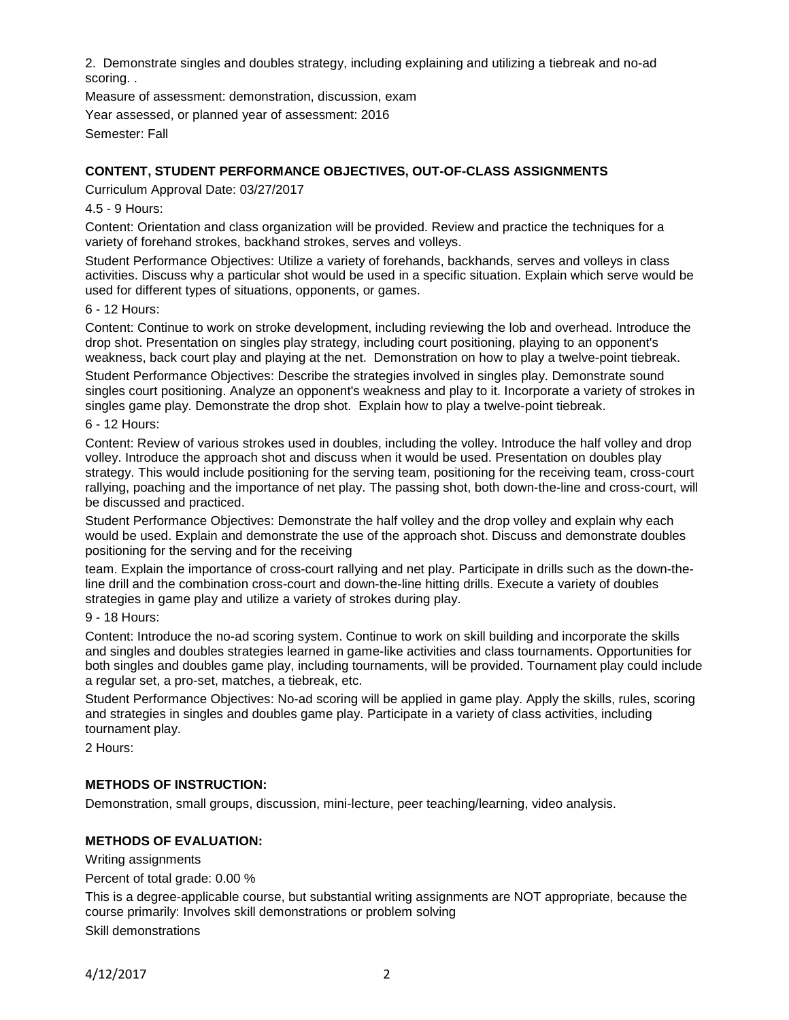2. Demonstrate singles and doubles strategy, including explaining and utilizing a tiebreak and no-ad scoring. .

Measure of assessment: demonstration, discussion, exam

Year assessed, or planned year of assessment: 2016

Semester: Fall

# **CONTENT, STUDENT PERFORMANCE OBJECTIVES, OUT-OF-CLASS ASSIGNMENTS**

Curriculum Approval Date: 03/27/2017

### 4.5 - 9 Hours:

Content: Orientation and class organization will be provided. Review and practice the techniques for a variety of forehand strokes, backhand strokes, serves and volleys.

Student Performance Objectives: Utilize a variety of forehands, backhands, serves and volleys in class activities. Discuss why a particular shot would be used in a specific situation. Explain which serve would be used for different types of situations, opponents, or games.

#### 6 - 12 Hours:

Content: Continue to work on stroke development, including reviewing the lob and overhead. Introduce the drop shot. Presentation on singles play strategy, including court positioning, playing to an opponent's weakness, back court play and playing at the net. Demonstration on how to play a twelve-point tiebreak. Student Performance Objectives: Describe the strategies involved in singles play. Demonstrate sound singles court positioning. Analyze an opponent's weakness and play to it. Incorporate a variety of strokes in singles game play. Demonstrate the drop shot. Explain how to play a twelve-point tiebreak.

#### 6 - 12 Hours:

Content: Review of various strokes used in doubles, including the volley. Introduce the half volley and drop volley. Introduce the approach shot and discuss when it would be used. Presentation on doubles play strategy. This would include positioning for the serving team, positioning for the receiving team, cross-court rallying, poaching and the importance of net play. The passing shot, both down-the-line and cross-court, will be discussed and practiced.

Student Performance Objectives: Demonstrate the half volley and the drop volley and explain why each would be used. Explain and demonstrate the use of the approach shot. Discuss and demonstrate doubles positioning for the serving and for the receiving

team. Explain the importance of cross-court rallying and net play. Participate in drills such as the down-theline drill and the combination cross-court and down-the-line hitting drills. Execute a variety of doubles strategies in game play and utilize a variety of strokes during play.

#### 9 - 18 Hours:

Content: Introduce the no-ad scoring system. Continue to work on skill building and incorporate the skills and singles and doubles strategies learned in game-like activities and class tournaments. Opportunities for both singles and doubles game play, including tournaments, will be provided. Tournament play could include a regular set, a pro-set, matches, a tiebreak, etc.

Student Performance Objectives: No-ad scoring will be applied in game play. Apply the skills, rules, scoring and strategies in singles and doubles game play. Participate in a variety of class activities, including tournament play.

2 Hours:

## **METHODS OF INSTRUCTION:**

Demonstration, small groups, discussion, mini-lecture, peer teaching/learning, video analysis.

# **METHODS OF EVALUATION:**

Writing assignments

Percent of total grade: 0.00 %

This is a degree-applicable course, but substantial writing assignments are NOT appropriate, because the course primarily: Involves skill demonstrations or problem solving

Skill demonstrations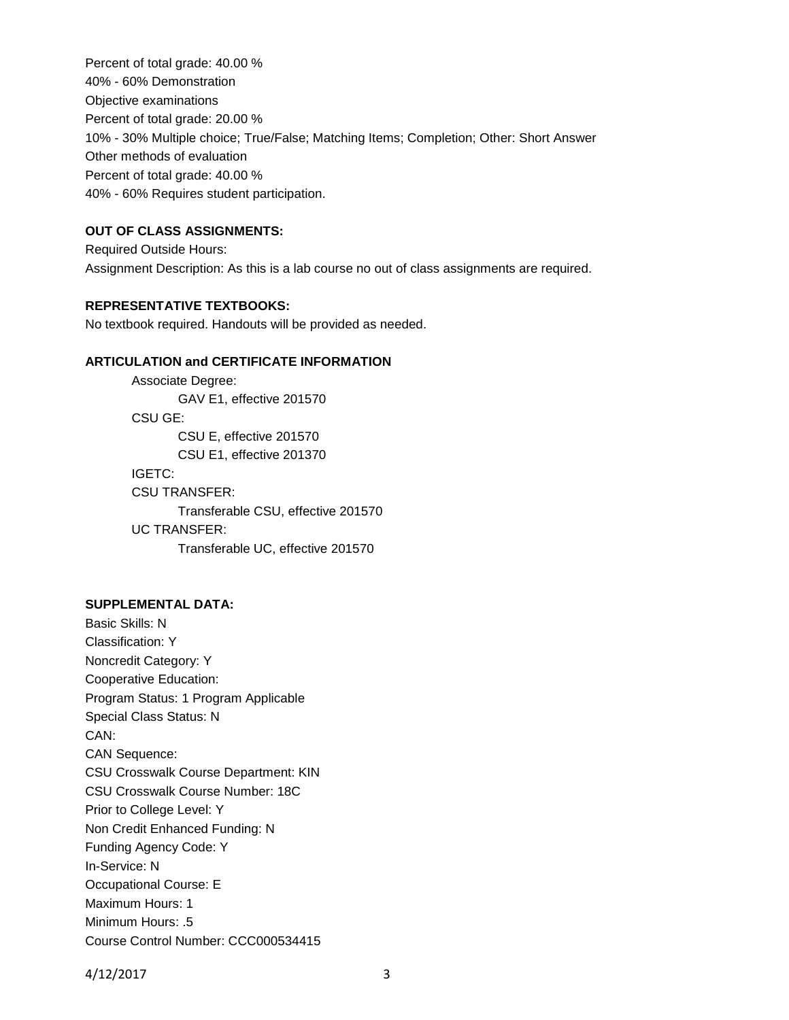Percent of total grade: 40.00 % 40% - 60% Demonstration Objective examinations Percent of total grade: 20.00 % 10% - 30% Multiple choice; True/False; Matching Items; Completion; Other: Short Answer Other methods of evaluation Percent of total grade: 40.00 % 40% - 60% Requires student participation.

#### **OUT OF CLASS ASSIGNMENTS:**

Required Outside Hours: Assignment Description: As this is a lab course no out of class assignments are required.

# **REPRESENTATIVE TEXTBOOKS:**

No textbook required. Handouts will be provided as needed.

## **ARTICULATION and CERTIFICATE INFORMATION**

Associate Degree: GAV E1, effective 201570 CSU GE: CSU E, effective 201570 CSU E1, effective 201370 IGETC: CSU TRANSFER: Transferable CSU, effective 201570 UC TRANSFER: Transferable UC, effective 201570

### **SUPPLEMENTAL DATA:**

Basic Skills: N Classification: Y Noncredit Category: Y Cooperative Education: Program Status: 1 Program Applicable Special Class Status: N CAN: CAN Sequence: CSU Crosswalk Course Department: KIN CSU Crosswalk Course Number: 18C Prior to College Level: Y Non Credit Enhanced Funding: N Funding Agency Code: Y In-Service: N Occupational Course: E Maximum Hours: 1 Minimum Hours: .5 Course Control Number: CCC000534415